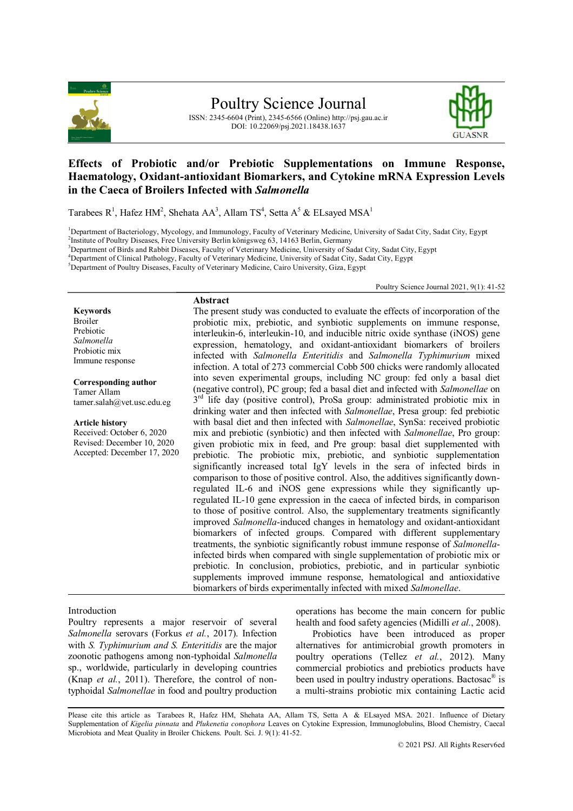

ISSN: 2345-6604 (Print), 2345-6566 (Online) http://psj.gau.ac.ir DOI: 10.22069/psj.2021.18438.1637



# **Effects of Probiotic and/or Prebiotic Supplementations on Immune Response, Haematology, Oxidant-antioxidant Biomarkers, and Cytokine mRNA Expression Levels in the Caeca of Broilers Infected with** *Salmonella*

Tarabees  $R^1$ , Hafez HM<sup>2</sup>, Shehata AA<sup>3</sup>, Allam TS<sup>4</sup>, Setta A<sup>5</sup> & ELsayed MSA<sup>1</sup>

<sup>1</sup>Department of Bacteriology, Mycology, and Immunology, Faculty of Veterinary Medicine, University of Sadat City, Sadat City, Egypt

<sup>2</sup>Institute of Poultry Diseases, Free University Berlin königsweg 63, 14163 Berlin, Germany

<sup>3</sup>Department of Birds and Rabbit Diseases, Faculty of Veterinary Medicine, University of Sadat City, Sadat City, Egypt

<sup>4</sup>Department of Clinical Pathology, Faculty of Veterinary Medicine, University of Sadat City, Sadat City, Egypt

<sup>5</sup>Department of Poultry Diseases, Faculty of Veterinary Medicine, Cairo University, Giza, Egypt

Poultry Science Journal 2021, 9(1): 41-52

**Keywords** Broiler Prebiotic *Salmonella* Probiotic mix Immune response

**Corresponding author** Tamer Allam tamer.salah@vet.usc.edu.eg

**Article history** Received: October 6, 2020 Revised: December 10, 2020 Accepted: December 17, 2020

## **Abstract** The present study was conducted to evaluate the effects of incorporation of the probiotic mix, prebiotic, and synbiotic supplements on immune response, interleukin-6, interleukin-10, and inducible nitric oxide synthase (iNOS) gene expression, hematology, and oxidant-antioxidant biomarkers of broilers infected with *Salmonella Enteritidis* and *Salmonella Typhimurium* mixed infection. A total of 273 commercial Cobb 500 chicks were randomly allocated into seven experimental groups, including NC group: fed only a basal diet (negative control), PC group; fed a basal diet and infected with *Salmonellae* on 3<sup>rd</sup> life day (positive control), ProSa group: administrated probiotic mix in drinking water and then infected with *Salmonellae*, Presa group: fed prebiotic with basal diet and then infected with *Salmonellae*, SynSa: received probiotic mix and prebiotic (synbiotic) and then infected with *Salmonellae*, Pro group: given probiotic mix in feed, and Pre group: basal diet supplemented with prebiotic. The probiotic mix, prebiotic, and synbiotic supplementation significantly increased total IgY levels in the sera of infected birds in comparison to those of positive control. Also, the additives significantly downregulated IL-6 and iNOS gene expressions while they significantly upregulated IL-10 gene expression in the caeca of infected birds, in comparison to those of positive control. Also, the supplementary treatments significantly improved *Salmonella*-induced changes in hematology and oxidant-antioxidant biomarkers of infected groups. Compared with different supplementary treatments, the synbiotic significantly robust immune response of *Salmonella*infected birds when compared with single supplementation of probiotic mix or prebiotic. In conclusion, probiotics, prebiotic, and in particular synbiotic supplements improved immune response, hematological and antioxidative biomarkers of birds experimentally infected with mixed *Salmonellae*.

## Introduction

Poultry represents a major reservoir of several *Salmonella* serovars (Forkus *et al.*, 2017). Infection with *S. Typhimurium and S. Enteritidis* are the major zoonotic pathogens among non-typhoidal *Salmonella* sp., worldwide, particularly in developing countries (Knap *et al.*, 2011). Therefore, the control of nontyphoidal *Salmonellae* in food and poultry production operations has become the main concern for public health and food safety agencies (Midilli *et al.*, 2008).

Probiotics have been introduced as proper alternatives for antimicrobial growth promoters in poultry operations (Tellez *et al.*, 2012). Many commercial probiotics and prebiotics products have been used in poultry industry operations. Bactosac<sup>®</sup> is a multi-strains probiotic mix containing Lactic acid

Please cite this article as Tarabees R, Hafez HM, Shehata AA, Allam TS, Setta A & ELsayed MSA. 2021. Influence of Dietary Supplementation of *Kigelia pinnata* and *Plukenetia conophora* Leaves on Cytokine Expression, Immunoglobulins, Blood Chemistry, Caecal Microbiota and Meat Quality in Broiler Chickens. Poult. Sci. J. 9(1): 41-52.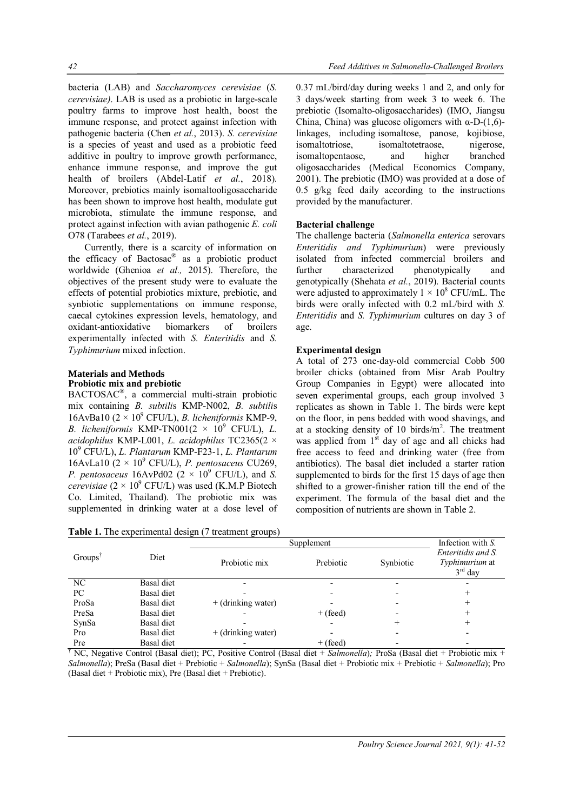bacteria (LAB) and *Saccharomyces cerevisiae* (*S. cerevisiae)*. LAB is used as a probiotic in large-scale poultry farms to improve host health, boost the immune response, and protect against infection with pathogenic bacteria (Chen *et al.*, 2013). *S. cerevisiae* is a species of yeast and used as a probiotic feed additive in poultry to improve growth performance, enhance immune response, and improve the gut health of broilers (Abdel-Latif *et al.*, 2018). Moreover, prebiotics mainly isomaltooligosaccharide has been shown to improve host health, modulate gut microbiota, stimulate the immune response, and protect against infection with avian pathogenic *E. coli* O78 (Tarabees *et al.*, 2019).

Currently, there is a scarcity of information on the efficacy of Bactosac® as a probiotic product worldwide (Ghenioa *et al.,* 2015). Therefore, the objectives of the present study were to evaluate the effects of potential probiotics mixture, prebiotic, and synbiotic supplementations on immune response, caecal cytokines expression levels, hematology, and oxidant-antioxidative biomarkers of broilers experimentally infected with *S. Enteritidis* and *S. Typhimurium* mixed infection.

### **Materials and Methods Probiotic mix and prebiotic**

BACTOSAC® , a commercial multi-strain probiotic mix containing *B. subtili*s KMP-N002, *B. subtili*s 16AvBa10  $(2 \times 10^9 \text{ CFU/L})$ , *B. licheniformis* KMP-9, *B. licheniformis* KMP-TN001 $(2 \times 10^9 \text{ CFU/L})$ , *L. acidophilus* KMP-L001, *L. acidophilus* TC2365(2 × 10<sup>9</sup> CFU/L), *L. Plantarum* KMP-F23-1, *L. Plantarum*  16AvLa10 (2 × 10<sup>9</sup> CFU/L), *P. pentosaceus* CU269, *P. pentosaceus* 16AvPd02 ( $2 \times 10^9$  CFU/L), and *S. cerevisiae*  $(2 \times 10^9 \text{ CFU/L})$  was used (K.M.P Biotech Co. Limited, Thailand). The probiotic mix was supplemented in drinking water at a dose level of

**Table 1.** The experimental design (7 treatment groups)

0.37 mL/bird/day during weeks 1 and 2, and only for 3 days/week starting from week 3 to week 6. The prebiotic (Isomalto-oligosaccharides) (IMO, Jiangsu China, China) was glucose oligomers with  $α$ -D-(1,6)linkages, including isomaltose, panose, kojibiose, isomaltotriose, isomaltotetraose, nigerose, isomaltopentaose, and higher branched oligosaccharides (Medical Economics Company, 2001). The prebiotic (IMO) was provided at a dose of 0.5 g/kg feed daily according to the instructions provided by the manufacturer.

# **Bacterial challenge**

The challenge bacteria (*Salmonella enterica* serovars *Enteritidis and Typhimurium*) were previously isolated from infected commercial broilers and further characterized phenotypically and genotypically (Shehata *et al.*, 2019). Bacterial counts were adjusted to approximately  $1 \times 10^8$  CFU/mL. The birds were orally infected with 0.2 mL/bird with *S. Enteritidis* and *S. Typhimurium* cultures on day 3 of age.

# **Experimental design**

A total of 273 one-day-old commercial Cobb 500 broiler chicks (obtained from Misr Arab Poultry Group Companies in Egypt) were allocated into seven experimental groups, each group involved 3 replicates as shown in Table 1. The birds were kept on the floor, in pens bedded with wood shavings, and at a stocking density of 10 birds/ $m<sup>2</sup>$ . The treatment was applied from  $1<sup>st</sup>$  day of age and all chicks had free access to feed and drinking water (free from antibiotics). The basal diet included a starter ration supplemented to birds for the first 15 days of age then shifted to a grower-finisher ration till the end of the experiment. The formula of the basal diet and the composition of nutrients are shown in Table 2.

|                     |            | Supplement           | Infection with S. |           |                                                   |
|---------------------|------------|----------------------|-------------------|-----------|---------------------------------------------------|
| Groups <sup>1</sup> | Diet       | Probiotic mix        | Prebiotic         | Synbiotic | Enteritidis and S.<br>Typhimurium at<br>$3rd$ day |
| NC                  | Basal diet |                      |                   |           |                                                   |
| PC                  | Basal diet |                      |                   |           |                                                   |
| ProSa               | Basal diet | $+$ (drinking water) |                   |           |                                                   |
| PreSa               | Basal diet |                      | $+$ (feed)        |           |                                                   |
| SynSa               | Basal diet |                      |                   |           |                                                   |
| Pro                 | Basal diet | $+$ (drinking water) |                   |           |                                                   |
| Pre                 | Basal diet |                      | $+$ (feed)        |           |                                                   |

† NC, Negative Control (Basal diet); PC, Positive Control (Basal diet + *Salmonella*)*;* ProSa (Basal diet + Probiotic mix + *Salmonella*); PreSa (Basal diet + Prebiotic + *Salmonella*); SynSa (Basal diet + Probiotic mix + Prebiotic + *Salmonella*); Pro (Basal diet + Probiotic mix), Pre (Basal diet + Prebiotic).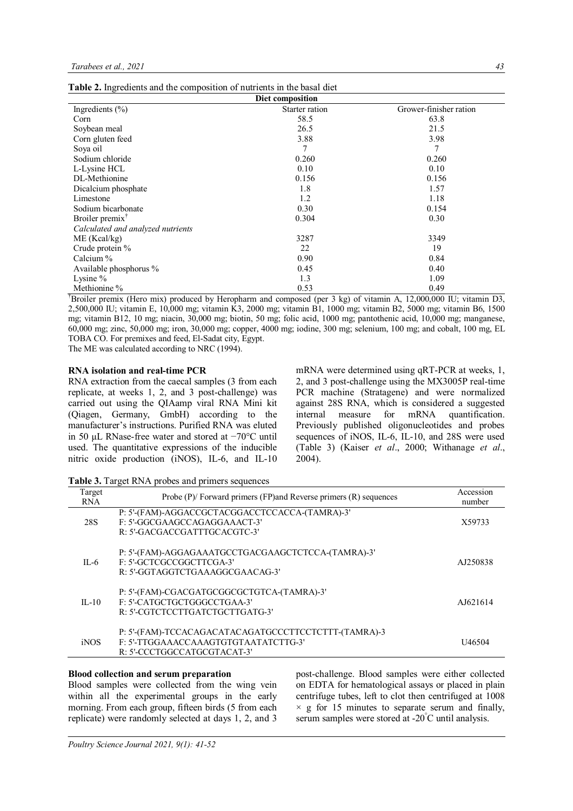| Diet composition                  |                |                        |  |  |  |  |
|-----------------------------------|----------------|------------------------|--|--|--|--|
| Ingredients $(\% )$               | Starter ration | Grower-finisher ration |  |  |  |  |
| Corn                              | 58.5           | 63.8                   |  |  |  |  |
| Soybean meal                      | 26.5           | 21.5                   |  |  |  |  |
| Corn gluten feed                  | 3.88           | 3.98                   |  |  |  |  |
| Soya oil                          | 7              | 7                      |  |  |  |  |
| Sodium chloride                   | 0.260          | 0.260                  |  |  |  |  |
| L-Lysine HCL                      | 0.10           | 0.10                   |  |  |  |  |
| DL-Methionine                     | 0.156          | 0.156                  |  |  |  |  |
| Dicalcium phosphate               | 1.8            | 1.57                   |  |  |  |  |
| Limestone                         | 1.2            | 1.18                   |  |  |  |  |
| Sodium bicarbonate                | 0.30           | 0.154                  |  |  |  |  |
| Broiler premix <sup>†</sup>       | 0.304          | 0.30                   |  |  |  |  |
| Calculated and analyzed nutrients |                |                        |  |  |  |  |
| ME (Kcal/kg)                      | 3287           | 3349                   |  |  |  |  |
| Crude protein %                   | 22             | 19                     |  |  |  |  |
| Calcium %                         | 0.90           | 0.84                   |  |  |  |  |
| Available phosphorus %            | 0.45           | 0.40                   |  |  |  |  |
| Lysine $\%$                       | 1.3            | 1.09                   |  |  |  |  |
| Methionine %                      | 0.53           | 0.49                   |  |  |  |  |

†Broiler premix (Hero mix) produced by Heropharm and composed (per 3 kg) of vitamin A, 12,000,000 IU; vitamin D3, 2,500,000 IU; vitamin E, 10,000 mg; vitamin K3, 2000 mg; vitamin B1, 1000 mg; vitamin B2, 5000 mg; vitamin B6, 1500 mg; vitamin B12, 10 mg; niacin, 30,000 mg; biotin, 50 mg; folic acid, 1000 mg; pantothenic acid, 10,000 mg; manganese, 60,000 mg; zinc, 50,000 mg; iron, 30,000 mg; copper, 4000 mg; iodine, 300 mg; selenium, 100 mg; and cobalt, 100 mg, EL TOBA CO. For premixes and feed, El-Sadat city, Egypt.

The ME was calculated according to NRC (1994).

#### **RNA isolation and real-time PCR**

RNA extraction from the caecal samples (3 from each replicate, at weeks 1, 2, and 3 post-challenge) was carried out using the QIAamp viral RNA Mini kit (Qiagen, Germany, GmbH) according to the manufacturer's instructions. Purified RNA was eluted in 50 μL RNase-free water and stored at −70°C until used. The quantitative expressions of the inducible nitric oxide production (iNOS), IL-6, and IL-10

mRNA were determined using qRT-PCR at weeks, 1, 2, and 3 post-challenge using the MX3005P real-time PCR machine (Stratagene) and were normalized against 28S RNA, which is considered a suggested internal measure for mRNA quantification. Previously published oligonucleotides and probes sequences of iNOS, IL-6, IL-10, and 28S were used (Table 3) (Kaiser *et al*., 2000; Withanage *et al*., 2004).

**Table 3.** Target RNA probes and primers sequences

| Target<br><b>RNA</b> | Probe $(P)$ Forward primers $(FP)$ and Reverse primers $(R)$ sequences                                                      | Accession<br>number |
|----------------------|-----------------------------------------------------------------------------------------------------------------------------|---------------------|
| 28S                  | P: 5'-(FAM)-AGGACCGCTACGGACCTCCACCA-(TAMRA)-3'<br>F: 5'-GGCGAAGCCAGAGGAAACT-3'<br>R: 5'-GACGACCGATTTGCACGTC-3'              | X59733              |
| $IL-6$               | P: 5'-(FAM)-AGGAGAAATGCCTGACGAAGCTCTCCA-(TAMRA)-3'<br>F: 5'-GCTCGCCGGCTTCGA-3'<br>R: 5'-GGTAGGTCTGAAAGGCGAACAG-3'           | AJ250838            |
| $II - 10$            | P: 5'-(FAM)-CGACGATGCGGCGCTGTCA-(TAMRA)-3'<br>F: 5'-CATGCTGCTGGGCCTGAA-3'<br>R: 5'-CGTCTCCTTGATCTGCTTGATG-3'                | AJ621614            |
| <i>iNOS</i>          | P: 5'-(FAM)-TCCACAGACATACAGATGCCCTTCCTCTTT-(TAMRA)-3<br>E: 5'-TTGGAAACCAAAGTGTGTAATATCTTG-3'<br>R: 5'-CCCTGGCCATGCGTACAT-3' | U <sub>46504</sub>  |

# **Blood collection and serum preparation**

Blood samples were collected from the wing vein within all the experimental groups in the early morning. From each group, fifteen birds (5 from each replicate) were randomly selected at days 1, 2, and 3

post-challenge. Blood samples were either collected on EDTA for hematological assays or placed in plain centrifuge tubes, left to clot then centrifuged at 1008  $\times$  g for 15 minutes to separate serum and finally, serum samples were stored at -20°C until analysis.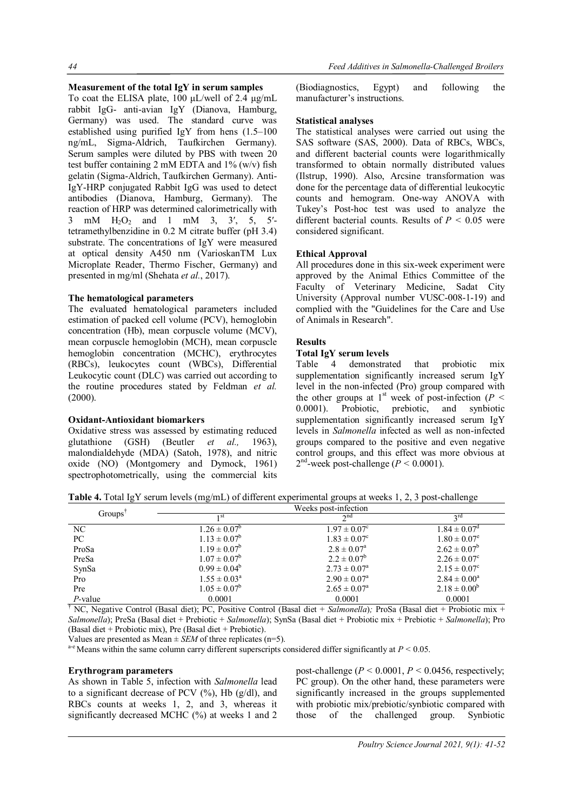## **Measurement of the total IgY in serum samples**

To coat the ELISA plate, 100 μL/well of 2.4 μg/mL rabbit IgG- anti-avian IgY (Dianova, Hamburg, Germany) was used. The standard curve was established using purified IgY from hens (1.5–100 ng/mL, Sigma-Aldrich, Taufkirchen Germany). Serum samples were diluted by PBS with tween 20 test buffer containing 2 mM EDTA and  $1\%$  (w/v) fish gelatin (Sigma-Aldrich, Taufkirchen Germany). Anti-IgY-HRP conjugated Rabbit IgG was used to detect antibodies (Dianova, Hamburg, Germany). The reaction of HRP was determined calorimetrically with 3 mM H2O<sup>2</sup> and 1 mM 3, 3′, 5, 5′ tetramethylbenzidine in 0.2 M citrate buffer (pH 3.4) substrate. The concentrations of IgY were measured at optical density A450 nm (VarioskanTM Lux Microplate Reader, Thermo Fischer, Germany) and presented in mg/ml (Shehata *et al.*, 2017).

### **The hematological parameters**

The evaluated hematological parameters included estimation of packed cell volume (PCV), hemoglobin concentration (Hb), mean corpuscle volume (MCV), mean corpuscle hemoglobin (MCH), mean corpuscle hemoglobin concentration (MCHC), erythrocytes (RBCs), leukocytes count (WBCs), Differential Leukocytic count (DLC) was carried out according to the routine procedures stated by Feldman *et al.* (2000).

### **Oxidant-Antioxidant biomarkers**

Oxidative stress was assessed by estimating reduced glutathione (GSH) (Beutler *et al.,* 1963), malondialdehyde (MDA) (Satoh, 1978), and nitric oxide (NO) (Montgomery and Dymock, 1961) spectrophotometrically, using the commercial kits (Biodiagnostics, Egypt) and following the manufacturer's instructions.

### **Statistical analyses**

The statistical analyses were carried out using the SAS software (SAS, 2000). Data of RBCs, WBCs, and different bacterial counts were logarithmically transformed to obtain normally distributed values (Ilstrup, 1990). Also, Arcsine transformation was done for the percentage data of differential leukocytic counts and hemogram. One-way ANOVA with Tukey's Post-hoc test was used to analyze the different bacterial counts. Results of  $P < 0.05$  were considered significant.

### **Ethical Approval**

All procedures done in this six-week experiment were approved by the Animal Ethics Committee of the Faculty of Veterinary Medicine, Sadat City University (Approval number VUSC-008-1-19) and complied with the "Guidelines for the Care and Use of Animals in Research".

# **Results**

### **Total IgY serum levels**

Table 4 demonstrated that probiotic mix supplementation significantly increased serum IgY level in the non-infected (Pro) group compared with the other groups at 1<sup>st</sup> week of post-infection ( $P <$ 0.0001). Probiotic, prebiotic, and synbiotic supplementation significantly increased serum IgY levels in *Salmonella* infected as well as non-infected groups compared to the positive and even negative control groups, and this effect was more obvious at  $2<sup>nd</sup>$ -week post-challenge ( $P < 0.0001$ ).

**Table 4.** Total IgY serum levels (mg/mL) of different experimental groups at weeks 1, 2, 3 post-challenge

|                     |                         | Weeks post-infection    |                         |  |
|---------------------|-------------------------|-------------------------|-------------------------|--|
| Groups <sup>T</sup> | ı st                    | $\gamma$ nd             | 2 <sub>rd</sub>         |  |
| NC.                 | $1.26 \pm 0.07^b$       | $1.97 \pm 0.07^c$       | $1.84 \pm 0.07^{\circ}$ |  |
| РC                  | $1.13 \pm 0.07^b$       | $1.83 \pm 0.07^c$       | $1.80 \pm 0.07^e$       |  |
| ProSa               | $1.19 \pm 0.07^b$       | $2.8 \pm 0.07^{\circ}$  | $2.62 \pm 0.07^b$       |  |
| PreSa               | $1.07 \pm 0.07^b$       | $2.2 \pm 0.07^b$        | $2.26 \pm 0.07^c$       |  |
| SynSa               | $0.99 \pm 0.04^b$       | $2.73 \pm 0.07^{\circ}$ | $2.15 \pm 0.07^c$       |  |
| Pro                 | $1.55 \pm 0.03^{\circ}$ | $2.90 \pm 0.07^{\circ}$ | $2.84 \pm 0.00^a$       |  |
| Pre                 | $1.05 \pm 0.07^b$       | $2.65 \pm 0.07^{\circ}$ | $2.18 \pm 0.00^b$       |  |
| $P$ -value          | 0.0001                  | 0.0001                  | 0.0001                  |  |

† NC, Negative Control (Basal diet); PC, Positive Control (Basal diet + *Salmonella*)*;* ProSa (Basal diet + Probiotic mix + *Salmonella*); PreSa (Basal diet + Prebiotic + *Salmonella*); SynSa (Basal diet + Probiotic mix + Prebiotic + *Salmonella*); Pro (Basal diet + Probiotic mix), Pre (Basal diet + Prebiotic).

Values are presented as Mean  $\pm$  *SEM* of three replicates (n=5).

 $a-e$  Means within the same column carry different superscripts considered differ significantly at  $P < 0.05$ .

#### **Erythrogram parameters**

As shown in Table 5, infection with *Salmonella* lead to a significant decrease of PCV  $(\frac{9}{6})$ , Hb  $(g/dl)$ , and RBCs counts at weeks 1, 2, and 3, whereas it significantly decreased MCHC (%) at weeks 1 and 2

post-challenge  $(P < 0.0001, P < 0.0456$ , respectively; PC group). On the other hand, these parameters were significantly increased in the groups supplemented with probiotic mix/prebiotic/synbiotic compared with those of the challenged group. Synbiotic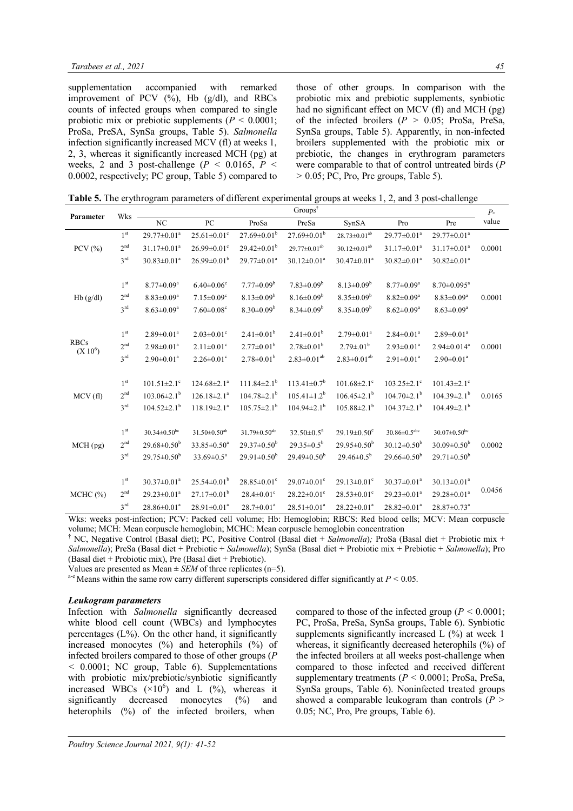supplementation accompanied with remarked improvement of PCV  $(\%)$ , Hb  $(g/dl)$ , and RBCs counts of infected groups when compared to single probiotic mix or prebiotic supplements (*P <* 0.0001; ProSa, PreSA, SynSa groups, Table 5). *Salmonella* infection significantly increased MCV (fl) at weeks 1, 2, 3, whereas it significantly increased MCH (pg) at weeks, 2 and 3 post-challenge ( $P < 0.0165$ ,  $P <$ 0.0002, respectively; PC group, Table 5) compared to

those of other groups. In comparison with the probiotic mix and prebiotic supplements, synbiotic had no significant effect on MCV (fl) and MCH (pg) of the infected broilers  $(P > 0.05$ ; ProSa, PreSa, SynSa groups, Table 5). Apparently, in non-infected broilers supplemented with the probiotic mix or prebiotic, the changes in erythrogram parameters were comparable to that of control untreated birds (*P ˃* 0.05; PC, Pro, Pre groups, Table 5).

**Table 5.** The erythrogram parameters of different experimental groups at weeks 1, 2, and 3 post-challenge

|              | Wks             | Groups <sup>†</sup>           |                                |                               |                               |                               |                               |                                | $P-$   |
|--------------|-----------------|-------------------------------|--------------------------------|-------------------------------|-------------------------------|-------------------------------|-------------------------------|--------------------------------|--------|
| Parameter    |                 | NC                            | PC                             | ProSa                         | PreSa                         | SynSA                         | Pro                           | Pre                            | value  |
|              | 1 <sup>st</sup> | $29.77 \pm 0.01^a$            | $25.61 \pm 0.01$ <sup>c</sup>  | $27.69 \pm 0.01^b$            | $27.69 \pm 0.01^b$            | $28.73 \pm 0.01^{ab}$         | 29.77±0.01 <sup>a</sup>       | $29.77 \pm 0.01^a$             |        |
| $PCV$ $(\%)$ | 2 <sup>nd</sup> | $31.17 \pm 0.01^a$            | $26.99 \pm 0.01$ <sup>c</sup>  | $29.42 \pm 0.01^{\rm b}$      | $29.77 \pm 0.01^{ab}$         | $30.12 \pm 0.01^{ab}$         | $31.17 \pm 0.01^a$            | $31.17 \pm 0.01^a$             | 0.0001 |
|              | 3 <sup>rd</sup> | $30.83 \pm 0.01^a$            | $26.99 \pm 0.01^b$             | $29.77 \pm 0.01^a$            | $30.12 \pm 0.01^a$            | $30.47 \pm 0.01^a$            | $30.82 \pm 0.01^a$            | $30.82 \pm 0.01^a$             |        |
|              |                 |                               |                                |                               |                               |                               |                               |                                |        |
|              | $1^{\rm st}$    | $8.77 \pm 0.09^a$             | $6.40 \pm 0.06$ <sup>c</sup>   | $7.77 \pm 0.09^b$             | $7.83 \pm 0.09^b$             | $8.13 \pm 0.09^b$             | $8.77 \pm 0.09^a$             | $8.70 \pm 0.095$ <sup>a</sup>  |        |
| Hb(g/dl)     | 2 <sup>nd</sup> | $8.83 \pm 0.09^a$             | $7.15 \pm 0.09$ <sup>c</sup>   | $8.13 \pm 0.09^b$             | $8.16 \pm 0.09^b$             | $8.35 \pm 0.09^b$             | $8.82 \pm 0.09^a$             | $8.83 \pm 0.09^a$              | 0.0001 |
|              | 3 <sup>rd</sup> | $8.63 \pm 0.09^a$             | $7.60 \pm 0.08$ <sup>c</sup>   | $8.30\pm0.09^b$               | $8.34 \pm 0.09^b$             | $8.35 \pm 0.09^b$             | $8.62 \pm 0.09^a$             | $8.63 \pm 0.09^a$              |        |
|              | 1 <sup>st</sup> | $2.89 \pm 0.01^a$             | $2.03 \pm 0.01$ °              | $2.41 \pm 0.01^b$             | $2.41 \pm 0.01^b$             | $2.79 \pm 0.01^a$             | $2.84 \pm 0.01^a$             | $2.89 \pm 0.01^a$              |        |
| <b>RBCs</b>  | $2^{\rm nd}$    |                               |                                |                               |                               |                               |                               |                                |        |
| $(X 10^6)$   |                 | $2.98 \pm 0.01^a$             | $2.11 \pm 0.01$ <sup>c</sup>   | $2.77 \pm 0.01^b$             | $2.78 \pm 0.01^b$             | $2.79 \pm 01^{b}$             | $2.93 \pm 0.01^a$             | $2.94 \pm 0.014$ <sup>a</sup>  | 0.0001 |
|              | 3 <sup>rd</sup> | $2.90 \pm 0.01$ <sup>a</sup>  | $2.26 \pm 0.01$ <sup>c</sup>   | $2.78 \pm 0.01^b$             | $2.83 \pm 0.01^{ab}$          | $2.83 \pm 0.01^{ab}$          | $2.91 \pm 0.01^a$             | $2.90 \pm 0.01$ <sup>a</sup>   |        |
|              | $1^{\rm st}$    | $101.51 \pm 2.1$ °            | $124.68 \pm 2.1^a$             | $111.84 \pm 2.1$ <sup>b</sup> | $113.41\pm0.7^b$              | $101.68 \pm 2.1$ <sup>c</sup> | $103.25 \pm 2.1$ <sup>c</sup> | $101.43 \pm 2.1$ <sup>c</sup>  |        |
| MCV(f)       | $2^{\rm nd}$    | $103.06 \pm 2.1$ <sup>b</sup> | $126.18 \pm 2.1$ <sup>a</sup>  | $104.78 \pm 2.1$ <sup>b</sup> | $105.41 \pm 1.2^b$            | $106.45 \pm 2.1$ <sup>b</sup> | $104.70 \pm 2.1$ <sup>b</sup> | $104.39 \pm 2.1^b$             | 0.0165 |
|              | $3^{\text{rd}}$ |                               |                                |                               |                               |                               |                               |                                |        |
|              |                 | $104.52 \pm 2.1$ <sup>b</sup> | $118.19 \pm 2.1^a$             | $105.75 \pm 2.1^b$            | $104.94 \pm 2.1^{\circ}$      | $105.88 \pm 2.1^{\mathrm{b}}$ | $104.37 \pm 2.1^{\mathrm{b}}$ | $104.49 \pm 2.1^{\rm b}$       |        |
|              | 1 <sup>st</sup> | $30.34 \pm 0.50$ bc           | $31.50 \pm 0.50$ <sup>ab</sup> | $31.79 \pm 0.50^{ab}$         | $32.50 \pm 0.5^a$             | $29.19 \pm 0.50$ <sup>c</sup> | $30.86 \pm 0.5^{abc}$         | $30.07 \pm 0.50$ <sup>bc</sup> |        |
| $MCH$ (pg)   | 2 <sup>nd</sup> | $29.68 \pm 0.50^b$            | $33.85 \pm 0.50^a$             | $29.37 \pm 0.50^{\rm b}$      | $29.35 \pm 0.5^b$             | $29.95 \pm 0.50^b$            | $30.12 \pm 0.50^b$            | $30.09 \pm 0.50^b$             | 0.0002 |
|              | 3 <sup>rd</sup> | $29.75 \pm 0.50^{\rm b}$      | $33.69 \pm 0.5^a$              | $29.91 \pm 0.50^{\rm b}$      | $29.49 \pm 0.50^b$            | $29.46 \pm 0.5^{\rm b}$       | $29.66 \pm 0.50^b$            | $29.71 \pm 0.50^b$             |        |
|              |                 |                               |                                |                               |                               |                               |                               |                                |        |
|              | 1 <sup>st</sup> | $30.37 \pm 0.01^a$            | $25.54 \pm 0.01^{\rm b}$       | $28.85 \pm 0.01$ <sup>c</sup> | $29.07 \pm 0.01$ <sup>c</sup> | $29.13 \pm 0.01$ <sup>c</sup> | $30.37 \pm 0.01^a$            | $30.13 \pm 0.01^a$             |        |
| MCHC (%)     | 2 <sup>nd</sup> | $29.23 \pm 0.01^a$            | $27.17 \pm 0.01^{\rm b}$       | $28.4 \pm 0.01$ <sup>c</sup>  | $28.22 \pm 0.01$ <sup>c</sup> | $28.53 \pm 0.01$ <sup>c</sup> | $29.23 \pm 0.01^a$            | $29.28 \pm 0.01^a$             | 0.0456 |
|              | 3 <sup>rd</sup> | $28.86 \pm 0.01^a$            | $28.91 \pm 0.01^a$             | $28.7 \pm 0.01^a$             | $28.51 \pm 0.01^a$            | $28.22 \pm 0.01^a$            | $28.82 \pm 0.01^a$            | 28.87±0.73 <sup>a</sup>        |        |

Wks: weeks post-infection; PCV: Packed cell volume; Hb: Hemoglobin; RBCS: Red blood cells; MCV: Mean corpuscle volume; MCH: Mean corpuscle hemoglobin; MCHC: Mean corpuscle hemoglobin concentration

† NC, Negative Control (Basal diet); PC, Positive Control (Basal diet + *Salmonella*)*;* ProSa (Basal diet + Probiotic mix + *Salmonella*); PreSa (Basal diet + Prebiotic + *Salmonella*); SynSa (Basal diet + Probiotic mix + Prebiotic + *Salmonella*); Pro (Basal diet + Probiotic mix), Pre (Basal diet + Prebiotic).

Values are presented as Mean  $\pm$  *SEM* of three replicates (n=5).

<sup>a-e</sup> Means within the same row carry different superscripts considered differ significantly at  $P < 0.05$ .

#### *Leukogram parameters*

Infection with *Salmonella* significantly decreased white blood cell count (WBCs) and lymphocytes percentages  $(L\%)$ . On the other hand, it significantly increased monocytes (%) and heterophils (%) of infected broilers compared to those of other groups (*P ˂* 0.0001; NC group, Table 6). Supplementations with probiotic mix/prebiotic/synbiotic significantly increased WBCs  $(\times 10^6)$  and L  $(\%)$ , whereas it significantly decreased monocytes (%) and heterophils (%) of the infected broilers, when

compared to those of the infected group ( $P < 0.0001$ ; PC, ProSa, PreSa, SynSa groups, Table 6). Synbiotic supplements significantly increased L  $(\%)$  at week 1 whereas, it significantly decreased heterophils (%) of the infected broilers at all weeks post-challenge when compared to those infected and received different supplementary treatments ( $P < 0.0001$ ; ProSa, PreSa, SynSa groups, Table 6). Noninfected treated groups showed a comparable leukogram than controls  $(P >$ 0.05; NC, Pro, Pre groups, Table 6).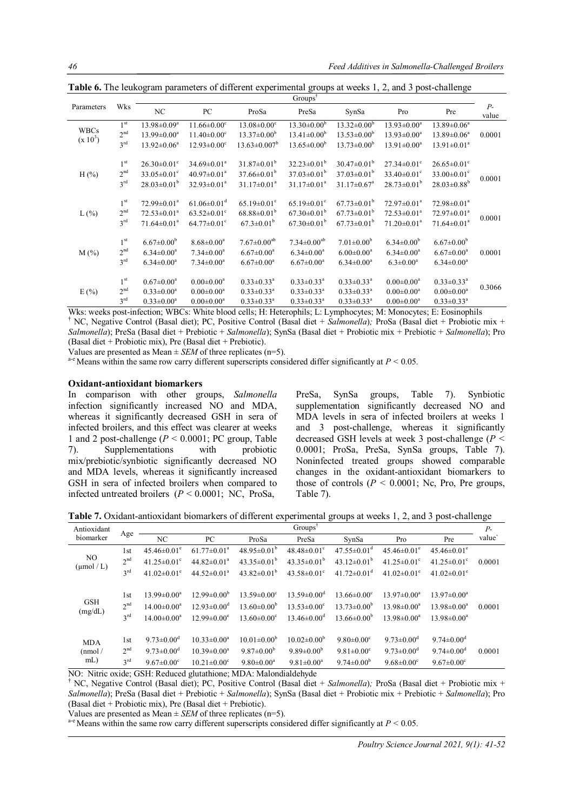|                           |                 |                               |                               |                               | $Groups^{\dagger}$            |                               |                               |                                  |               |
|---------------------------|-----------------|-------------------------------|-------------------------------|-------------------------------|-------------------------------|-------------------------------|-------------------------------|----------------------------------|---------------|
| Parameters                | Wks             | NC                            | PC                            | ProSa                         | PreSa                         | SynSa                         | Pro                           | Pre                              | $P-$<br>value |
|                           | 1 <sup>st</sup> | 13.98±0.09 <sup>a</sup>       | $11.66 \pm 0.00$ <sup>c</sup> | $13.08 \pm 0.00$ <sup>c</sup> | $13.30 \pm 0.00^b$            | $13.32 \pm 0.00^b$            | $13.93 \pm 0.00^a$            | $13.89 \pm 0.06^a$               |               |
| <b>WBCs</b><br>$(x 10^3)$ | 2 <sup>nd</sup> | $13.99 \pm 0.00^a$            | $11.40 \pm 0.00$ <sup>c</sup> | $13.37 \pm 0.00^{\rm b}$      | $13.41 \pm 0.00^b$            | $13.53 \pm 0.00^b$            | $13.93 \pm 0.00^a$            | $13.89 \pm 0.06^a$               | 0.0001        |
|                           | 3 <sup>rd</sup> | $13.92 \pm 0.06^a$            | $12.93 \pm 0.00$ <sup>c</sup> | $13.63 \pm 0.007^b$           | $13.65 \pm 0.00^{\circ}$      | $13.73 \pm 0.00^b$            | $13.91 \pm 0.00^a$            | $13.91 \pm 0.01^a$               |               |
|                           | 1 <sup>st</sup> | $26.30 \pm 0.01$ <sup>c</sup> | $34.69 \pm 0.01^a$            | $31.87 \pm 0.01^{\mathrm{b}}$ | $32.23 \pm 0.01^b$            | $30.47 \pm 0.01^{\rm b}$      | $27.34 \pm 0.01$ °            | $26.65 \pm 0.01$ °               |               |
| H $(\% )$                 | 2 <sup>nd</sup> | $33.05 \pm 0.01$ <sup>c</sup> | $40.97 \pm 0.01^a$            | $37.66 \pm 0.01^{\circ}$      | $37.03 \pm 0.01^b$            | $37.03 \pm 0.01^{\circ}$      | $33.40 \pm 0.01$ <sup>c</sup> | 33.00 $\pm$ 0.01 $\rm{^{\circ}}$ | 0.0001        |
|                           | 3 <sup>rd</sup> | $28.03 \pm 0.01^{\rm b}$      | $32.93 \pm 0.01^a$            | $31.17 \pm 0.01^a$            | $31.17 \pm 0.01^a$            | $31.17 \pm 0.67$ <sup>a</sup> | $28.73 \pm 0.01^{\rm b}$      | $28.03 \pm 0.88$ <sup>b</sup>    |               |
|                           | 1 <sup>st</sup> | $72.99 \pm 0.01^a$            | $61.06 \pm 0.01$ <sup>d</sup> | $65.19 \pm 0.01$ <sup>c</sup> | $65.19 \pm 0.01$ <sup>c</sup> | $67.73 \pm 0.01^{\circ}$      | $72.97 \pm 0.01^a$            | $72.98 \pm 0.01^a$               |               |
| $L(\%)$                   | 2 <sup>nd</sup> | $72.53 \pm 0.01^a$            | $63.52 \pm 0.01$ °            | $68.88 \pm 0.01^{\rm b}$      | $67.30\pm0.01^{\rm b}$        | $67.73 \pm 0.01^{\rm b}$      | $72.53 \pm 0.01^a$            | $72.97 \pm 0.01^a$               | 0.0001        |
|                           | 3 <sup>rd</sup> | $71.64 \pm 0.01$ <sup>a</sup> | $64.77 \pm 0.01$ <sup>c</sup> | $67.3 \pm 0.01^{\rm b}$       | $67.30\pm0.01^{\rm b}$        | $67.73 \pm 0.01^b$            | $71.20 \pm 0.01$ <sup>a</sup> | $71.64 \pm 0.01^a$               |               |
|                           | 1 <sup>st</sup> | $6.67 \pm 0.00^b$             | $8.68 \pm 0.00^a$             | $7.67 \pm 0.00$ <sup>ab</sup> | $7.34 \pm 0.00^{ab}$          | $7.01 \pm 0.00^{\rm b}$       | $6.34 \pm 0.00^b$             | $6.67 \pm 0.00^b$                |               |
| $M(\%)$                   | 2 <sup>nd</sup> | $6.34 \pm 0.00^a$             | $7.34 \pm 0.00^a$             | $6.67 \pm 0.00^a$             | $6.34 \pm 0.00^a$             | $6.00 \pm 0.00^a$             | $6.34 \pm 0.00^a$             | $6.67 \pm 0.00^a$                | 0.0001        |
|                           | 3 <sup>rd</sup> | $6.34 \pm 0.00^a$             | $7.34 \pm 0.00^a$             | $6.67 \pm 0.00^a$             | $6.67 \pm 0.00^a$             | $6.34 \pm 0.00^a$             | $6.3 \pm 0.00^a$              | $6.34 \pm 0.00^a$                |               |
|                           | 1 <sup>st</sup> | $0.67 \pm 0.00^a$             | $0.00 \pm 0.00^a$             | $0.33 \pm 0.33$ <sup>a</sup>  | $0.33 \pm 0.33$ <sup>a</sup>  | $0.33 \pm 0.33^{\text{a}}$    | $0.00 \pm 0.00^a$             | $0.33 \pm 0.33$ <sup>a</sup>     |               |
| E(%)                      | 2 <sup>nd</sup> | $0.33 \pm 0.00^a$             | $0.00 \pm 0.00^a$             | $0.33 \pm 0.33$ <sup>a</sup>  | $0.33 \pm 0.33$ <sup>a</sup>  | $0.33 \pm 0.33$ <sup>a</sup>  | $0.00 \pm 0.00^a$             | $0.00 \pm 0.00^a$                | 0.3066        |
|                           | 3 <sup>rd</sup> | $0.33 \pm 0.00^a$             | $0.00 \pm 0.00^a$             | $0.33 \pm 0.33^a$             | $0.33 \pm 0.33^a$             | $0.33 \pm 0.33$ <sup>a</sup>  | $0.00 \pm 0.00^a$             | $0.33 \pm 0.33^a$                |               |

**Table 6.** The leukogram parameters of different experimental groups at weeks 1, 2, and 3 post-challenge

Wks: weeks post-infection; WBCs: White blood cells; H: Heterophils; L: Lymphocytes; M: Monocytes; E: Eosinophils † NC, Negative Control (Basal diet); PC, Positive Control (Basal diet + *Salmonella*)*;* ProSa (Basal diet + Probiotic mix + *Salmonella*); PreSa (Basal diet + Prebiotic + *Salmonella*); SynSa (Basal diet + Probiotic mix + Prebiotic + *Salmonella*); Pro (Basal diet + Probiotic mix), Pre (Basal diet + Prebiotic).

Values are presented as Mean  $\pm$  *SEM* of three replicates (n=5).

a<sup>-e</sup> Means within the same row carry different superscripts considered differ significantly at *P* < 0.05.

### **Oxidant-antioxidant biomarkers**

In comparison with other groups, *Salmonella*  infection significantly increased NO and MDA, whereas it significantly decreased GSH in sera of infected broilers, and this effect was clearer at weeks 1 and 2 post-challenge (*P* < 0.0001; PC group, Table<br>
7). Supplementations with probiotic 7). Supplementations with probiotic mix/prebiotic/synbiotic significantly decreased NO and MDA levels, whereas it significantly increased GSH in sera of infected broilers when compared to infected untreated broilers (*P ˂* 0.0001; NC, ProSa,

PreSa, SynSa groups, Table 7). Synbiotic supplementation significantly decreased NO and MDA levels in sera of infected broilers at weeks 1 and 3 post-challenge, whereas it significantly decreased GSH levels at week 3 post-challenge (*P ˂* 0.0001; ProSa, PreSa, SynSa groups, Table 7). Noninfected treated groups showed comparable changes in the oxidant-antioxidant biomarkers to those of controls  $(P \le 0.0001)$ ; Nc, Pro, Pre groups, Table 7).

**Table 7.** Oxidant-antioxidant biomarkers of different experimental groups at weeks 1, 2, and 3 post-challenge

| Antioxidant                                                    | Groups <sup>†</sup>                       |                                                                                         |                                                                            |                                                                                            |                                                                                       |                                                                                         |                                                                                         | $P-$                                                                                         |        |
|----------------------------------------------------------------|-------------------------------------------|-----------------------------------------------------------------------------------------|----------------------------------------------------------------------------|--------------------------------------------------------------------------------------------|---------------------------------------------------------------------------------------|-----------------------------------------------------------------------------------------|-----------------------------------------------------------------------------------------|----------------------------------------------------------------------------------------------|--------|
| biomarker                                                      | Age                                       | NC                                                                                      | PC                                                                         | ProSa                                                                                      | PreSa                                                                                 | SynSa                                                                                   | Pro                                                                                     | Pre                                                                                          | value` |
|                                                                | 1st                                       | $45.46\pm0.01^e$                                                                        | $61.77 \pm 0.01^a$                                                         | $48.95 \pm 0.01^{\mathrm{b}}$                                                              | $48.48 \pm 0.01$ <sup>c</sup>                                                         | $47.55 \pm 0.01$ <sup>d</sup>                                                           | $45.46 \pm 0.01$ <sup>e</sup>                                                           | $45.46 \pm 0.01$ <sup>e</sup>                                                                |        |
| NO.<br>$(\mu \text{mol}/L)$                                    | 2 <sup>nd</sup>                           | 41.25 $\pm$ 0.01 <sup>c</sup>                                                           | $44.82 \pm 0.01^a$                                                         | 43.35 $\pm$ 0.01 <sup>b</sup>                                                              | 43.35 $\pm$ 0.01 <sup>b</sup>                                                         | $43.12\pm0.01^{\circ}$                                                                  | 41.25 $\pm$ 0.01 <sup>c</sup>                                                           | 41.25 $\pm$ 0.01 <sup>c</sup>                                                                | 0.0001 |
|                                                                | 3 <sup>rd</sup>                           | $41.02 \pm 0.01$ <sup>e</sup>                                                           | $44.52 \pm 0.01^a$                                                         | 43.82 $\pm$ 0.01 <sup>b</sup>                                                              | $43.58 \pm 0.01$ <sup>c</sup>                                                         | $41.72 \pm 0.01$ <sup>d</sup>                                                           | 41.02 $\pm$ 0.01 <sup>e</sup>                                                           | $41.02 \pm 0.01$ <sup>e</sup>                                                                |        |
| <b>GSH</b><br>(mg/dL)                                          | 1st<br>2 <sup>nd</sup><br>3 <sup>rd</sup> | $13.99 \pm 0.00^a$<br>$14.00 \pm 0.00^a$<br>$14.00 \pm 0.00^a$                          | $12.99 \pm 0.00^{\circ}$<br>$12.93 \pm 0.00^{\circ}$<br>$12.99 \pm 0.00^e$ | $13.59 \pm 0.00$ <sup>c</sup><br>$13.60 \pm 0.00^{\circ}$<br>$13.60 \pm 0.00$ <sup>c</sup> | $13.59 \pm 0.00^{\circ}$<br>$13.53 \pm 0.00^{\circ}$<br>$13.46 \pm 0.00$ <sup>d</sup> | $13.66 \pm 0.00^{\circ}$<br>$13.73 \pm 0.00^b$<br>$13.66 \pm 0.00^{\circ}$              | $13.97 \pm 0.00^a$<br>$13.98 \pm 0.00^a$<br>$13.98 \pm 0.00^a$                          | $13.97 \pm 0.00^a$<br>$13.98 \pm 0.00^a$<br>$13.98 \pm 0.00^a$                               | 0.0001 |
| <b>MDA</b><br>(nmol)<br>$mL$ )<br>$\mathbf{M} \cap \mathbf{M}$ | 1st<br>2 <sup>nd</sup><br>$3^{\text{rd}}$ | $9.73 \pm 0.00^{\circ}$<br>9.73 $\pm$ 0.00 <sup>d</sup><br>$9.67 \pm 0.00$ <sup>c</sup> | $10.33 \pm 0.00^a$<br>$10.39 \pm 0.00^a$<br>$10.21 \pm 0.00^{\circ}$       | $10.01 \pm 0.00^{\circ}$<br>$9.87 \pm 0.00^{\rm b}$<br>$9.80 \pm 0.00^a$                   | $10.02 \pm 0.00^{\circ}$<br>9.89 $\pm$ 0.00 <sup>b</sup><br>$9.81 \pm 0.00^a$         | $9.80 \pm 0.00$ <sup>c</sup><br>$9.81 \pm 0.00$ <sup>c</sup><br>$9.74 \pm 0.00^{\circ}$ | $9.73 \pm 0.00^{\circ}$<br>9.73 $\pm$ 0.00 <sup>d</sup><br>$9.68 \pm 0.00$ <sup>c</sup> | $9.74 \pm 0.00$ <sup>d</sup><br>$9.74 \pm 0.00$ <sup>d</sup><br>$9.67 \pm 0.00$ <sup>c</sup> | 0.0001 |

NO: Nitric oxide; GSH: Reduced glutathione; MDA: Malondialdehyde

† NC, Negative Control (Basal diet); PC, Positive Control (Basal diet + *Salmonella*)*;* ProSa (Basal diet + Probiotic mix + *Salmonella*); PreSa (Basal diet + Prebiotic + *Salmonella*); SynSa (Basal diet + Probiotic mix + Prebiotic + *Salmonella*); Pro (Basal diet + Probiotic mix), Pre (Basal diet + Prebiotic).

Values are presented as Mean  $\pm$  *SEM* of three replicates (n=5).

 $a-e$  Means within the same row carry different superscripts considered differ significantly at  $P < 0.05$ .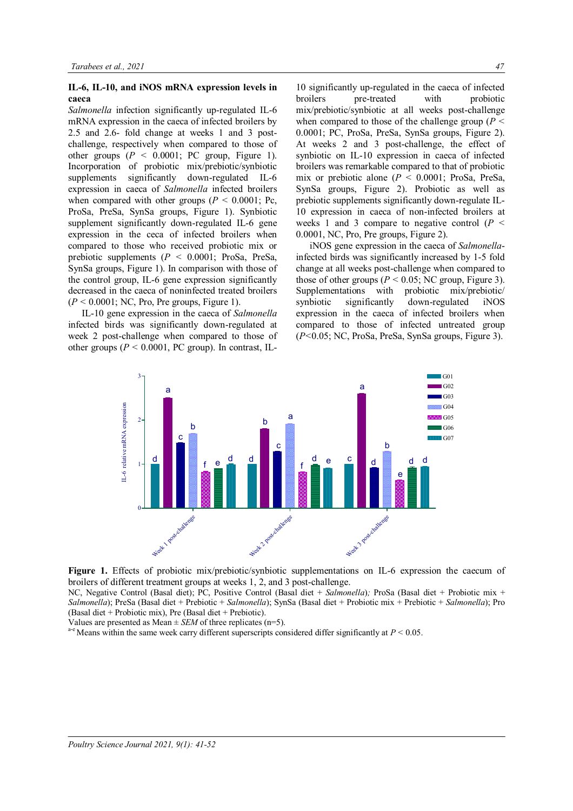#### **IL-6, IL-10, and iNOS mRNA expression levels in caeca**

*Salmonella* infection significantly up-regulated IL-6 mRNA expression in the caeca of infected broilers by 2.5 and 2.6- fold change at weeks 1 and 3 postchallenge, respectively when compared to those of other groups  $(P < 0.0001$ ; PC group, Figure 1). Incorporation of probiotic mix/prebiotic/synbiotic supplements significantly down-regulated IL-6 expression in caeca of *Salmonella* infected broilers when compared with other groups  $(P < 0.0001$ ; Pc, ProSa, PreSa, SynSa groups, Figure 1). Synbiotic supplement significantly down-regulated IL-6 gene expression in the ceca of infected broilers when compared to those who received probiotic mix or prebiotic supplements (*P ˂* 0.0001; ProSa, PreSa, SynSa groups, Figure 1). In comparison with those of the control group, IL-6 gene expression significantly decreased in the caeca of noninfected treated broilers  $(P < 0.0001$ ; NC, Pro, Pre groups, Figure 1).

IL-10 gene expression in the caeca of *Salmonella* infected birds was significantly down-regulated at week 2 post-challenge when compared to those of other groups ( $P < 0.0001$ , PC group). In contrast, IL-

10 significantly up-regulated in the caeca of infected broilers pre-treated with probiotic mix/prebiotic/synbiotic at all weeks post-challenge when compared to those of the challenge group (*P ˂* 0.0001; PC, ProSa, PreSa, SynSa groups, Figure 2). At weeks 2 and 3 post-challenge, the effect of synbiotic on IL-10 expression in caeca of infected broilers was remarkable compared to that of probiotic mix or prebiotic alone (*P ˂* 0.0001; ProSa, PreSa, SynSa groups, Figure 2). Probiotic as well as prebiotic supplements significantly down-regulate IL-10 expression in caeca of non-infected broilers at weeks 1 and 3 compare to negative control (*P ˂* 0.0001, NC, Pro, Pre groups, Figure 2).

iNOS gene expression in the caeca of *Salmonella*infected birds was significantly increased by 1-5 fold change at all weeks post-challenge when compared to those of other groups ( $P < 0.05$ ; NC group, Figure 3). Supplementations with probiotic mix/prebiotic/ synbiotic significantly down-regulated iNOS expression in the caeca of infected broilers when compared to those of infected untreated group (*P˂*0.05; NC, ProSa, PreSa, SynSa groups, Figure 3).



Figure 1. Effects of probiotic mix/prebiotic/synbiotic supplementations on IL-6 expression the caecum of broilers of different treatment groups at weeks 1, 2, and 3 post-challenge.

NC, Negative Control (Basal diet); PC, Positive Control (Basal diet + *Salmonella*)*;* ProSa (Basal diet + Probiotic mix + *Salmonella*); PreSa (Basal diet + Prebiotic + *Salmonella*); SynSa (Basal diet + Probiotic mix + Prebiotic + *Salmonella*); Pro (Basal diet + Probiotic mix), Pre (Basal diet + Prebiotic).

Values are presented as Mean  $\pm$  *SEM* of three replicates (n=5).

a<sup>-e</sup> Means within the same week carry different superscripts considered differ significantly at *P* < 0.05.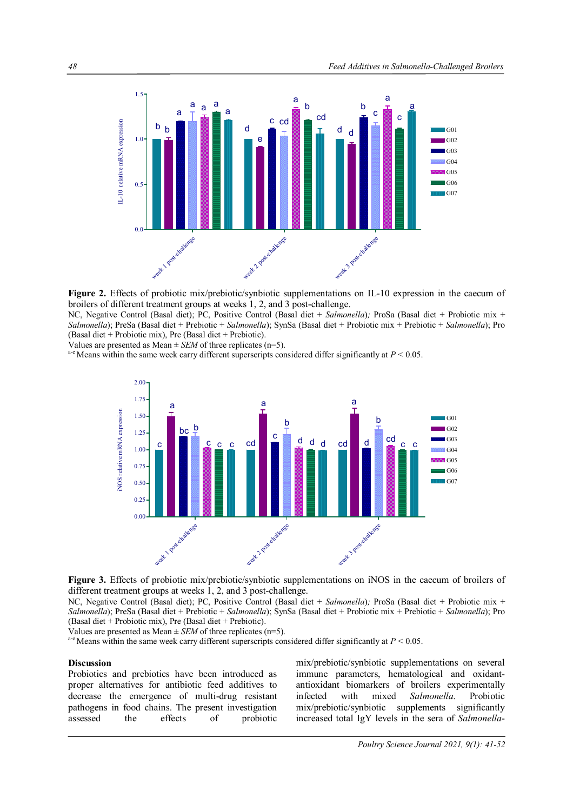

**Figure 2.** Effects of probiotic mix/prebiotic/synbiotic supplementations on IL-10 expression in the caecum of broilers of different treatment groups at weeks 1, 2, and 3 post-challenge.

NC, Negative Control (Basal diet); PC, Positive Control (Basal diet + *Salmonella*)*;* ProSa (Basal diet + Probiotic mix + *Salmonella*); PreSa (Basal diet + Prebiotic + *Salmonella*); SynSa (Basal diet + Probiotic mix + Prebiotic + *Salmonella*); Pro (Basal diet + Probiotic mix), Pre (Basal diet + Prebiotic).

Values are presented as Mean  $\pm$  *SEM* of three replicates (n=5).

a-e Means within the same week carry different superscripts considered differ significantly at *P ˂* 0.05.





NC, Negative Control (Basal diet); PC, Positive Control (Basal diet + *Salmonella*)*;* ProSa (Basal diet + Probiotic mix + *Salmonella*); PreSa (Basal diet + Prebiotic + *Salmonella*); SynSa (Basal diet + Probiotic mix + Prebiotic + *Salmonella*); Pro (Basal diet + Probiotic mix), Pre (Basal diet + Prebiotic).

Values are presented as Mean  $\pm$  *SEM* of three replicates (n=5).

<sup>a-e</sup> Means within the same week carry different superscripts considered differ significantly at  $P < 0.05$ .

#### **Discussion**

Probiotics and prebiotics have been introduced as proper alternatives for antibiotic feed additives to decrease the emergence of multi-drug resistant pathogens in food chains. The present investigation assessed the effects of probiotic

mix/prebiotic/synbiotic supplementations on several immune parameters, hematological and oxidantantioxidant biomarkers of broilers experimentally<br>infected with mixed Salmonella Probiotic with mixed *Salmonella*. Probiotic mix/prebiotic/synbiotic supplements significantly increased total IgY levels in the sera of *Salmonella*-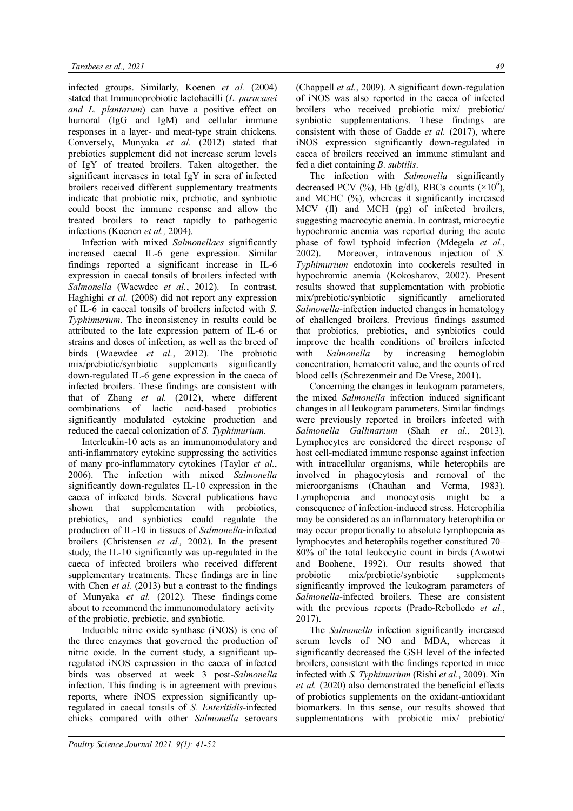infected groups. Similarly, Koenen *et al.* (2004) stated that Immunoprobiotic lactobacilli (*L. paracasei and L. plantarum*) can have a positive effect on humoral (IgG and IgM) and cellular immune responses in a layer- and meat-type strain chickens. Conversely, Munyaka *et al.* (2012) stated that prebiotics supplement did not increase serum levels of IgY of treated broilers. Taken altogether, the significant increases in total IgY in sera of infected broilers received different supplementary treatments indicate that probiotic mix, prebiotic, and synbiotic could boost the immune response and allow the treated broilers to react rapidly to pathogenic infections (Koenen *et al.,* 2004).

Infection with mixed *Salmonellaes* significantly increased caecal IL-6 gene expression. Similar findings reported a significant increase in IL-6 expression in caecal tonsils of broilers infected with *Salmonella* (Waewdee *et al.*, 2012). In contrast, Haghighi *et al.* (2008) did not report any expression of IL-6 in caecal tonsils of broilers infected with *S. Typhimurium*. The inconsistency in results could be attributed to the late expression pattern of IL-6 or strains and doses of infection, as well as the breed of birds (Waewdee *et al.*, 2012). The probiotic mix/prebiotic/synbiotic supplements significantly down-regulated IL-6 gene expression in the caeca of infected broilers. These findings are consistent with that of Zhang *et al.* (2012), where different combinations of lactic acid-based probiotics significantly modulated cytokine production and reduced the caecal colonization of *S. Typhimurium*.

Interleukin-10 acts as an immunomodulatory and anti-inflammatory cytokine suppressing the activities of many pro-inflammatory cytokines (Taylor *et al.*, 2006). The infection with mixed *Salmonella* significantly down-regulates IL-10 expression in the caeca of infected birds. Several publications have shown that supplementation with probiotics, prebiotics, and synbiotics could regulate the production of IL-10 in tissues of *Salmonella*-infected broilers (Christensen *et al.,* 2002). In the present study, the IL-10 significantly was up-regulated in the caeca of infected broilers who received different supplementary treatments. These findings are in line with Chen *et al.* (2013) but a contrast to the findings of Munyaka *et al.* (2012). These findings come about to recommend the immunomodulatory activity of the probiotic, prebiotic, and synbiotic.

Inducible nitric oxide synthase (iNOS) is one of the three enzymes that governed the production of nitric oxide. In the current study, a significant upregulated iNOS expression in the caeca of infected birds was observed at week 3 post-*Salmonella*  infection. This finding is in agreement with previous reports, where iNOS expression significantly upregulated in caecal tonsils of *S. Enteritidis*-infected chicks compared with other *Salmonella* serovars

(Chappell *et al.*, 2009). A significant down-regulation of iNOS was also reported in the caeca of infected broilers who received probiotic mix/ prebiotic/ synbiotic supplementations. These findings are consistent with those of Gadde *et al.* (2017), where iNOS expression significantly down-regulated in caeca of broilers received an immune stimulant and fed a diet containing *B. subtilis*.

The infection with *Salmonella* significantly decreased PCV (%), Hb (g/dl), RBCs counts  $(\times 10^6)$ , and MCHC (%), whereas it significantly increased MCV (fl) and MCH (pg) of infected broilers, suggesting macrocytic anemia. In contrast, microcytic hypochromic anemia was reported during the acute phase of fowl typhoid infection (Mdegela *et al.*, 2002). Moreover, intravenous injection of *S. Typhimurium* endotoxin into cockerels resulted in hypochromic anemia (Kokosharov, 2002). Present results showed that supplementation with probiotic mix/prebiotic/synbiotic significantly ameliorated *Salmonella-*infection inducted changes in hematology of challenged broilers. Previous findings assumed that probiotics, prebiotics, and synbiotics could improve the health conditions of broilers infected with *Salmonella* by increasing hemoglobin concentration, hematocrit value, and the counts of red blood cells (Schrezenmeir and De Vrese, 2001).

Concerning the changes in leukogram parameters, the mixed *Salmonella* infection induced significant changes in all leukogram parameters. Similar findings were previously reported in broilers infected with *Salmonella Gallinarium* (Shah *et al.*, 2013). Lymphocytes are considered the direct response of host cell-mediated immune response against infection with intracellular organisms, while heterophils are involved in phagocytosis and removal of the microorganisms (Chauhan and Verma, 1983). Lymphopenia and monocytosis might be a consequence of infection-induced stress. Heterophilia may be considered as an inflammatory heterophilia or may occur proportionally to absolute lymphopenia as lymphocytes and heterophils together constituted 70– 80% of the total leukocytic count in birds (Awotwi and Boohene, 1992). Our results showed that probiotic mix/prebiotic/synbiotic supplements significantly improved the leukogram parameters of *Salmonella*-infected broilers. These are consistent with the previous reports (Prado-Rebolledo *et al.*, 2017).

The *Salmonella* infection significantly increased serum levels of NO and MDA, whereas it significantly decreased the GSH level of the infected broilers, consistent with the findings reported in mice infected with *S. Typhimurium* (Rishi *et al.*, 2009). Xin *et al.* (2020) also demonstrated the beneficial effects of probiotics supplements on the oxidant-antioxidant biomarkers. In this sense, our results showed that supplementations with probiotic mix/ prebiotic/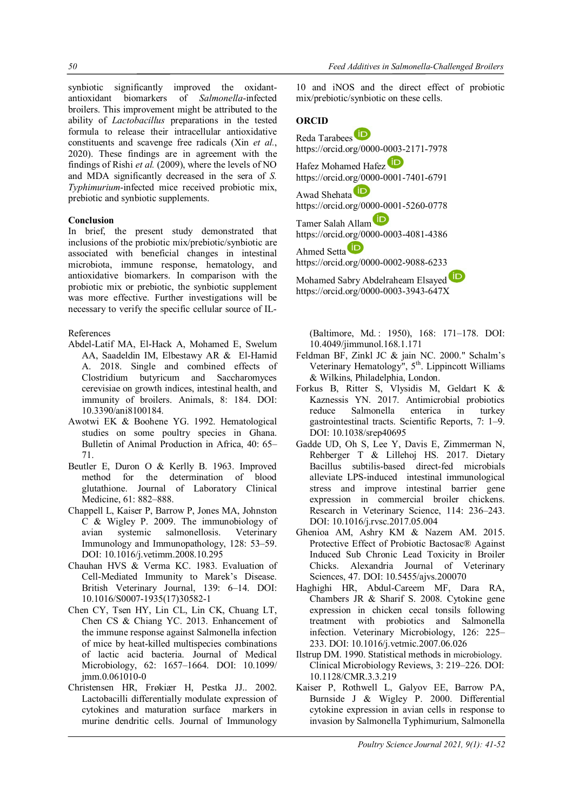synbiotic significantly improved the oxidantantioxidant biomarkers of *Salmonella*-infected broilers. This improvement might be attributed to the ability of *Lactobacillus* preparations in the tested formula to release their intracellular antioxidative constituents and scavenge free radicals (Xin *et al.*, 2020). These findings are in agreement with the findings of Rishi *et al.* (2009), where the levels of NO and MDA significantly decreased in the sera of *S. Typhimurium*-infected mice received probiotic mix, prebiotic and synbiotic supplements.

## **Conclusion**

In brief, the present study demonstrated that inclusions of the probiotic mix/prebiotic/synbiotic are associated with beneficial changes in intestinal microbiota, immune response, hematology, and antioxidative biomarkers. In comparison with the probiotic mix or prebiotic, the synbiotic supplement was more effective. Further investigations will be necessary to verify the specific cellular source of IL-

### References

- Abdel-Latif MA, El-Hack A, Mohamed E, Swelum AA, Saadeldin IM, Elbestawy AR & El-Hamid A. 2018. Single and combined effects of Clostridium butyricum and Saccharomyces cerevisiae on growth indices, intestinal health, and immunity of broilers. Animals, 8: 184. DOI: 10.3390/ani8100184.
- Awotwi EK & Boohene YG. 1992. Hematological studies on some poultry species in Ghana. Bulletin of Animal Production in Africa, 40: 65– 71.
- Beutler E, Duron O & Kerlly B. 1963. Improved method for the determination of blood glutathione. Journal of Laboratory Clinical Medicine, 61: 882–888.
- Chappell L, Kaiser P, Barrow P, Jones MA, Johnston C & Wigley P. 2009. The immunobiology of avian systemic salmonellosis. Veterinary Immunology and Immunopathology, 128: 53–59. DOI: 10.1016/j.vetimm.2008.10.295
- Chauhan HVS & Verma KC. 1983. Evaluation of Cell-Mediated Immunity to Marek's Disease. British Veterinary Journal, 139: 6–14. DOI: 10.1016/S0007-1935(17)30582-1
- Chen CY, Tsen HY, Lin CL, Lin CK, Chuang LT, Chen CS & Chiang YC. 2013. Enhancement of the immune response against Salmonella infection of mice by heat-killed multispecies combinations of lactic acid bacteria. Journal of Medical Microbiology, 62: 1657–1664. DOI: 10.1099/ jmm.0.061010-0
- Christensen HR, Frøkiær H, Pestka JJ.. 2002. Lactobacilli differentially modulate expression of cytokines and maturation surface markers in murine dendritic cells. Journal of Immunology

10 and iNOS and the direct effect of probiotic mix/prebiotic/synbiotic on these cells.

# **ORCID**

Reda Tarabees https://orcid.org/0000-0003-2171-7978 Hafez Mohamed Hafez https://orcid.org/0000-0001-7401-6791 Awad Shehata<sup>D</sup> https://orcid.org/0000-0001-5260-0778 Tamer Salah Allam https://orcid.org/0000-0003-4081-4386 Ahmed Setta https://orcid.org/0000-0002-9088-6233 Mohamed Sabry Abdelraheam Elsayed

https://orcid.org/0000-0003-3943-647X

(Baltimore, Md. : 1950), 168: 171–178. DOI: 10.4049/jimmunol.168.1.171

- Feldman BF, Zinkl JC & jain NC. 2000." Schalm's Veterinary Hematology",  $5<sup>th</sup>$ . Lippincott Williams & Wilkins, Philadelphia, London.
- Forkus B, Ritter S, Vlysidis M, Geldart K & Kaznessis YN. 2017. Antimicrobial probiotics reduce Salmonella enterica in turkey gastrointestinal tracts. Scientific Reports, 7: 1–9. DOI: 10.1038/srep40695
- Gadde UD, Oh S, Lee Y, Davis E, Zimmerman N, Rehberger T & Lillehoj HS. 2017. Dietary Bacillus subtilis-based direct-fed microbials alleviate LPS-induced intestinal immunological stress and improve intestinal barrier gene expression in commercial broiler chickens. Research in Veterinary Science, 114: 236–243. DOI: 10.1016/j.rvsc.2017.05.004
- Ghenioa AM, Ashry KM & Nazem AM. 2015. Protective Effect of Probiotic Bactosac® Against Induced Sub Chronic Lead Toxicity in Broiler Chicks. Alexandria Journal of Veterinary Sciences, 47. DOI: 10.5455/ajvs.200070
- Haghighi HR, Abdul-Careem MF, Dara RA, Chambers JR & Sharif S. 2008. Cytokine gene expression in chicken cecal tonsils following treatment with probiotics and Salmonella infection. Veterinary Microbiology, 126: 225– 233. DOI: 10.1016/j.vetmic.2007.06.026
- Ilstrup DM. 1990. Statistical methods in microbiology. Clinical Microbiology Reviews, 3: 219–226. DOI: 10.1128/CMR.3.3.219
- Kaiser P, Rothwell L, Galyov EE, Barrow PA, Burnside J & Wigley P. 2000. Differential cytokine expression in avian cells in response to invasion by Salmonella Typhimurium, Salmonella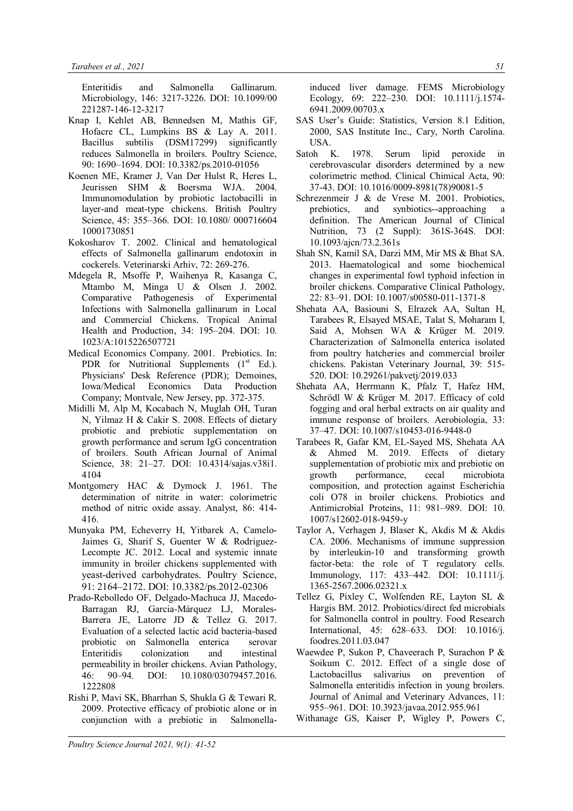Enteritidis and Salmonella Gallinarum. Microbiology, 146: 3217-3226. DOI: 10.1099/00 221287-146-12-3217

- Knap I, Kehlet AB, Bennedsen M, Mathis GF, Hofacre CL, Lumpkins BS & Lay A. 2011. Bacillus subtilis (DSM17299) significantly reduces Salmonella in broilers. Poultry Science, 90: 1690–1694. DOI: 10.3382/ps.2010-01056
- Koenen ME, Kramer J, Van Der Hulst R, Heres L, Jeurissen SHM & Boersma WJA. 2004. Immunomodulation by probiotic lactobacilli in layer-and meat-type chickens. British Poultry Science, 45: 355–366. DOI: 10.1080/ 000716604 10001730851
- Kokosharov T. 2002. Clinical and hematological effects of Salmonella gallinarum endotoxin in cockerels. Veterinarski Arhiv, 72: 269-276.
- Mdegela R, Msoffe P, Waihenya R, Kasanga C, Mtambo M, Minga U & Olsen J. 2002. Comparative Pathogenesis of Experimental Infections with Salmonella gallinarum in Local and Commercial Chickens. Tropical Animal Health and Production, 34: 195–204. DOI: 10. 1023/A:1015226507721
- Medical Economics Company. 2001. Prebiotics. In: PDR for Nutritional Supplements  $(1<sup>st</sup> Ed.)$ . Physicians' Desk Reference (PDR); Demoines, Iowa/Medical Economics Data Production Company; Montvale, New Jersey, pp. 372-375.
- Midilli M, Alp M, Kocabach N, Muglah OH, Turan N, Yilmaz H & Cakir S. 2008. Effects of dietary probiotic and prebiotic supplementation on growth performance and serum IgG concentration of broilers. South African Journal of Animal Science, 38: 21–27. DOI: 10.4314/sajas.v38i1. 4104
- Montgomery HAC & Dymock J. 1961. The determination of nitrite in water: colorimetric method of nitric oxide assay. Analyst, 86: 414- 416.
- Munyaka PM, Echeverry H, Yitbarek A, Camelo-Jaimes G, Sharif S, Guenter W & Rodriguez-Lecompte JC. 2012. Local and systemic innate immunity in broiler chickens supplemented with yeast-derived carbohydrates. Poultry Science, 91: 2164–2172. DOI: 10.3382/ps.2012-02306
- Prado-Rebolledo OF, Delgado-Machuca JJ, Macedo-Barragan RJ, Garcia-Márquez LJ, Morales-Barrera JE, Latorre JD & Tellez G. 2017. Evaluation of a selected lactic acid bacteria-based probiotic on Salmonella enterica serovar Enteritidis colonization and intestinal permeability in broiler chickens. Avian Pathology, 46: 90–94. DOI: 10.1080/03079457.2016. 1222808
- Rishi P, Mavi SK, Bharrhan S, Shukla G & Tewari R. 2009. Protective efficacy of probiotic alone or in conjunction with a prebiotic in Salmonella-

induced liver damage. FEMS Microbiology Ecology, 69: 222–230. DOI: 10.1111/j.1574- 6941.2009.00703.x

- SAS User's Guide: Statistics, Version 8.1 Edition, 2000, SAS Institute Inc., Cary, North Carolina. USA.
- Satoh K. 1978. Serum lipid peroxide in cerebrovascular disorders determined by a new colorimetric method. Clinical Chimical Acta, 90: 37-43. DOI: 10.1016/0009-8981(78)90081-5
- Schrezenmeir J & de Vrese M. 2001. Probiotics, prebiotics, and synbiotics--approaching a definition. The American Journal of Clinical Nutrition, 73 (2 Suppl): 361S-364S. DOI: 10.1093/ajcn/73.2.361s
- Shah SN, Kamil SA, Darzi MM, Mir MS & Bhat SA. 2013. Haematological and some biochemical changes in experimental fowl typhoid infection in broiler chickens. Comparative Clinical Pathology, 22: 83–91. DOI: 10.1007/s00580-011-1371-8
- Shehata AA, Basiouni S, Elrazek AA, Sultan H, Tarabees R, Elsayed MSAE, Talat S, Moharam I, Said A, Mohsen WA & Krüger M. 2019. Characterization of Salmonella enterica isolated from poultry hatcheries and commercial broiler chickens. Pakistan Veterinary Journal, 39: 515- 520. DOI: 10.29261/pakvetj/2019.033
- Shehata AA, Herrmann K, Pfalz T, Hafez HM, Schrödl W & Krüger M. 2017. Efficacy of cold fogging and oral herbal extracts on air quality and immune response of broilers. Aerobiologia, 33: 37–47. DOI: 10.1007/s10453-016-9448-0
- Tarabees R, Gafar KM, EL-Sayed MS, Shehata AA & Ahmed M. 2019. Effects of dietary supplementation of probiotic mix and prebiotic on growth performance, cecal microbiota composition, and protection against Escherichia coli O78 in broiler chickens. Probiotics and Antimicrobial Proteins, 11: 981–989. DOI: 10. 1007/s12602-018-9459-y
- Taylor A, Verhagen J, Blaser K, Akdis M & Akdis CA. 2006. Mechanisms of immune suppression by interleukin-10 and transforming growth factor-beta: the role of T regulatory cells. Immunology, 117: 433–442. DOI: 10.1111/j. 1365-2567.2006.02321.x
- Tellez G, Pixley C, Wolfenden RE, Layton SL & Hargis BM. 2012. Probiotics/direct fed microbials for Salmonella control in poultry. Food Research International, 45: 628–633. DOI: 10.1016/j. foodres.2011.03.047
- Waewdee P, Sukon P, Chaveerach P, Surachon P & Soikum C. 2012. Effect of a single dose of Lactobacillus salivarius on prevention of Salmonella enteritidis infection in young broilers. Journal of Animal and Veterinary Advances, 11: 955–961. DOI: 10.3923/javaa.2012.955.961
- Withanage GS, Kaiser P, Wigley P, Powers C,